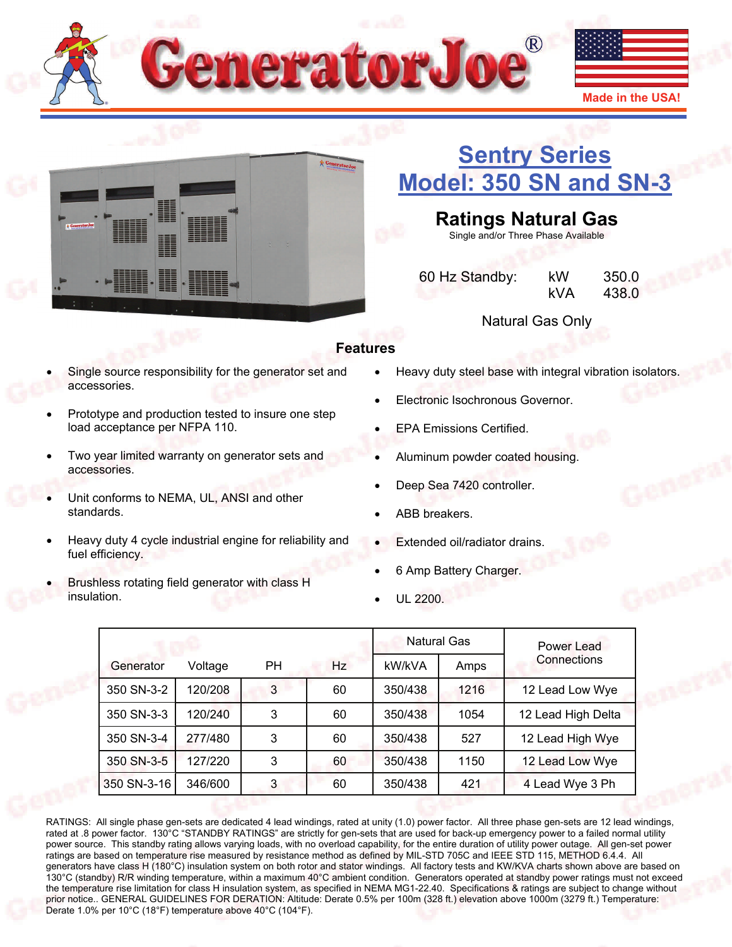



# **[Sentry Series](http://www.generatorjoe.net/product.asp?0=0&1=0&3=4373)  [Model: 350 SN and SN-3](http://www.generatorjoe.net/product.asp?0=0&1=0&3=4373)**

**Ratings Natural Gas** 

Single and/or Three Phase Available

 60 Hz Standby: kW 350.0 kVA 438.0

Natural Gas Only

### **Features**

- Single source responsibility for the generator set and accessories.
- Prototype and production tested to insure one step load acceptance per NFPA 110.
- Two year limited warranty on generator sets and accessories.
- Unit conforms to NEMA, UL, ANSI and other standards.
- Heavy duty 4 cycle industrial engine for reliability and fuel efficiency.
- Brushless rotating field generator with class H insulation.
- Heavy duty steel base with integral vibration isolators.
- Electronic Isochronous Governor.
- EPA Emissions Certified.
- Aluminum powder coated housing.
- Deep Sea 7420 controller.
- ABB breakers.
- Extended oil/radiator drains.
- 6 Amp Battery Charger.
- UL 2200.

|             |         |           | <b>Natural Gas</b> |         | Power Lead |                    |
|-------------|---------|-----------|--------------------|---------|------------|--------------------|
| Generator   | Voltage | <b>PH</b> | Hz                 | kW/kVA  | Amps       | Connections        |
| 350 SN-3-2  | 120/208 | 3         | 60                 | 350/438 | 1216       | 12 Lead Low Wye    |
| 350 SN-3-3  | 120/240 | 3         | 60                 | 350/438 | 1054       | 12 Lead High Delta |
| 350 SN-3-4  | 277/480 | 3         | 60                 | 350/438 | 527        | 12 Lead High Wye   |
| 350 SN-3-5  | 127/220 | 3         | 60                 | 350/438 | 1150       | 12 Lead Low Wye    |
| 350 SN-3-16 | 346/600 | 3         | 60                 | 350/438 | 421        | 4 Lead Wye 3 Ph    |

RATINGS: All single phase gen-sets are dedicated 4 lead windings, rated at unity (1.0) power factor. All three phase gen-sets are 12 lead windings, rated at .8 power factor. 130°C "STANDBY RATINGS" are strictly for gen-sets that are used for back-up emergency power to a failed normal utility power source. This standby rating allows varying loads, with no overload capability, for the entire duration of utility power outage. All gen-set power ratings are based on temperature rise measured by resistance method as defined by MIL-STD 705C and IEEE STD 115, METHOD 6.4.4. All generators have class H (180°C) insulation system on both rotor and stator windings. All factory tests and KW/KVA charts shown above are based on 130°C (standby) R/R winding temperature, within a maximum 40°C ambient condition. Generators operated at standby power ratings must not exceed the temperature rise limitation for class H insulation system, as specified in NEMA MG1-22.40. Specifications & ratings are subject to change without prior notice.. GENERAL GUIDELINES FOR DERATION: Altitude: Derate 0.5% per 100m (328 ft.) elevation above 1000m (3279 ft.) Temperature: Derate 1.0% per 10°C (18°F) temperature above 40°C (104°F).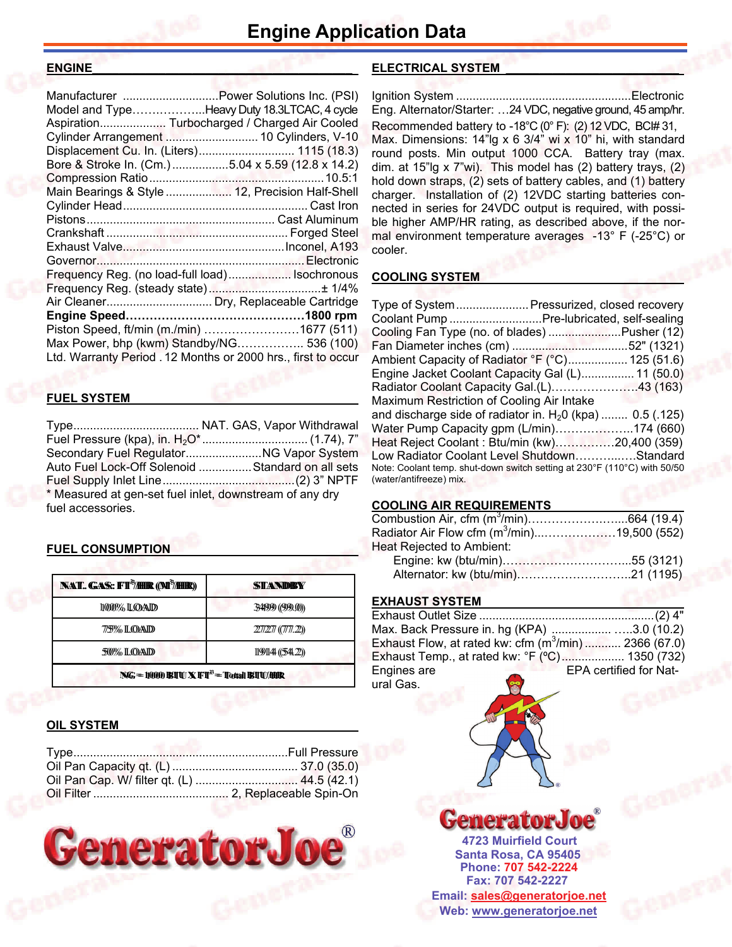### **ENGINE**

| Manufacturer  Power Solutions Inc. (PSI)                      |  |
|---------------------------------------------------------------|--|
| Model and TypeHeavy Duty 18.3LTCAC, 4 cycle                   |  |
| Aspiration Turbocharged / Charged Air Cooled                  |  |
| Cylinder Arrangement  10 Cylinders, V-10                      |  |
| Displacement Cu. In. (Liters) 1115 (18.3)                     |  |
| Bore & Stroke In. (Cm.) 5.04 x 5.59 (12.8 x 14.2)             |  |
|                                                               |  |
| Main Bearings & Style  12, Precision Half-Shell               |  |
|                                                               |  |
|                                                               |  |
|                                                               |  |
|                                                               |  |
|                                                               |  |
| Frequency Reg. (no load-full load) Isochronous                |  |
|                                                               |  |
| Air Cleaner Dry, Replaceable Cartridge                        |  |
|                                                               |  |
| Piston Speed, ft/min (m./min) 1677 (511)                      |  |
| Max Power, bhp (kwm) Standby/NG 536 (100)                     |  |
| Ltd. Warranty Period . 12 Months or 2000 hrs., first to occur |  |
|                                                               |  |

### **FUEL SYSTEM \_\_\_\_\_\_\_\_\_\_\_\_\_\_\_\_\_\_\_\_\_\_\_\_\_\_\_\_\_\_\_\_\_**

Type ...................................... NAT. GAS, Vapor Withdrawal Fuel Pressure (kpa), in. H<sub>2</sub>O\* ................................. (1.74), 7" Secondary Fuel Regulator ....................... NG Vapor System Auto Fuel Lock-Off Solenoid ................ Standard on all sets Fuel Supply Inlet Line ........................................ (2) 3" NPTF \* Measured at gen-set fuel inlet, downstream of any dry fuel accessories.

### **FUEL CONSUMPTION**

| <b>NAT. GAS: FT<sup>3</sup>/HIR (M<sup>3</sup>/HIR)</b>                                                                                                                  | STANDBY            |  |
|--------------------------------------------------------------------------------------------------------------------------------------------------------------------------|--------------------|--|
| 1000% LOAD                                                                                                                                                               | 34999 (999.0))     |  |
| 775% LOAD                                                                                                                                                                | $227277$ ((777.2)) |  |
| <b>50% LOAD</b>                                                                                                                                                          | 199144(544.2)      |  |
| $\mathbb{N}\mathbb{G} = 10000 \mathbb{B}\mathbb{I}\mathbb{U}\mathbb{X} \mathbb{H}\mathbb{I}^3 = \mathbb{T}$ ottall $\mathbb{B}\mathbb{I}\mathbb{U}/\mathbb{H}\mathbb{R}$ |                    |  |

### **OIL SYSTEM**



### **ELECTRICAL SYSTEM \_\_\_\_\_\_\_\_\_\_\_\_\_\_\_\_\_\_\_\_\_\_\_\_\_\_**

Ignition System ..................................................... Electronic Eng. Alternator/Starter: …24 VDC, negative ground, 45 amp/hr. Recommended battery to -18°C (0° F): (2) 12 VDC, BCI# 31, Max. Dimensions: 14"lg x 6 3/4" wi x 10" hi, with standard round posts. Min output 1000 CCA. Battery tray (max. dim. at 15"lg x 7"wi). This model has (2) battery trays, (2) hold down straps, (2) sets of battery cables, and (1) battery charger. Installation of (2) 12VDC starting batteries connected in series for 24VDC output is required, with possible higher AMP/HR rating, as described above, if the normal environment temperature averages -13° F (-25°C) or cooler.

### **COOLING SYSTEM**

|                                           | Type of System Pressurized, closed recovery                              |
|-------------------------------------------|--------------------------------------------------------------------------|
|                                           | Coolant Pump Pre-lubricated, self-sealing                                |
|                                           | Cooling Fan Type (no. of blades) Pusher (12)                             |
|                                           |                                                                          |
|                                           | Ambient Capacity of Radiator °F (°C) 125 (51.6)                          |
|                                           | Engine Jacket Coolant Capacity Gal (L) 11 (50.0)                         |
|                                           | Radiator Coolant Capacity Gal.(L)43 (163)                                |
| Maximum Restriction of Cooling Air Intake |                                                                          |
|                                           | and discharge side of radiator in. $H20$ (kpa)  0.5 (.125)               |
|                                           | Water Pump Capacity gpm (L/min)174 (660)                                 |
|                                           | Heat Reject Coolant: Btu/min (kw)20,400 (359)                            |
|                                           | Low Radiator Coolant Level ShutdownStandard                              |
|                                           | Note: Coolant temp. shut-down switch setting at 230°F (110°C) with 50/50 |
| (water/antifreeze) mix.                   |                                                                          |

### **COOLING AIR REQUIREMENTS**

| Radiator Air Flow cfm (m <sup>3</sup> /min)19,500 (552) |  |
|---------------------------------------------------------|--|
| Heat Rejected to Ambient:                               |  |
|                                                         |  |
|                                                         |  |

### **EXHAUST SYSTEM**

| Max. Back Pressure in. hg (KPA) 3.0 (10.2)           |                               |
|------------------------------------------------------|-------------------------------|
| Exhaust Flow, at rated kw: cfm $(m^3/m)$ 2366 (67.0) |                               |
| Exhaust Temp., at rated kw: °F (°C) 1350 (732)       |                               |
| Engines are                                          | <b>EPA certified for Nat-</b> |
| $\bullet$<br>ural Gas.                               |                               |



**Santa Rosa, CA 95405 4723 Muirfield Court Fax: 707 542-2227 Phone: 707 542-2224 Web: [www.generatorjoe.net](http://www.generatorjoe.net)  Email: [sales@generatorjoe.net](mailto:sales@generatorjoe.net?subject=Your%20products)**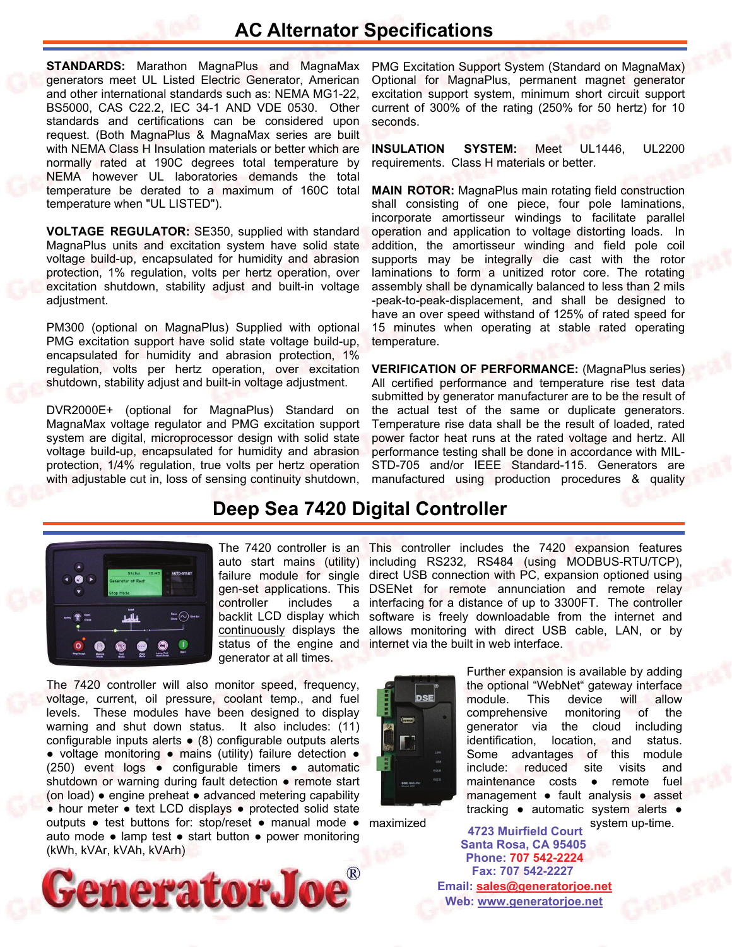### **AC Alternator Specifications**

**STANDARDS:** Marathon MagnaPlus and MagnaMax generators meet UL Listed Electric Generator, American and other international standards such as: NEMA MG1-22, BS5000, CAS C22.2, IEC 34-1 AND VDE 0530. Other standards and certifications can be considered upon request. (Both MagnaPlus & MagnaMax series are built with NEMA Class H Insulation materials or better which are normally rated at 190C degrees total temperature by NEMA however UL laboratories demands the total temperature be derated to a maximum of 160C total temperature when "UL LISTED").

**VOLTAGE REGULATOR:** SE350, supplied with standard MagnaPlus units and excitation system have solid state voltage build-up, encapsulated for humidity and abrasion protection, 1% regulation, volts per hertz operation, over excitation shutdown, stability adjust and built-in voltage adjustment.

PM300 (optional on MagnaPlus) Supplied with optional PMG excitation support have solid state voltage build-up, encapsulated for humidity and abrasion protection, 1% regulation, volts per hertz operation, over excitation shutdown, stability adjust and built-in voltage adjustment.

DVR2000E+ (optional for MagnaPlus) Standard on MagnaMax voltage regulator and PMG excitation support system are digital, microprocessor design with solid state voltage build-up, encapsulated for humidity and abrasion protection, 1/4% regulation, true volts per hertz operation with adjustable cut in, loss of sensing continuity shutdown, PMG Excitation Support System (Standard on MagnaMax) Optional for MagnaPlus, permanent magnet generator excitation support system, minimum short circuit support current of 300% of the rating (250% for 50 hertz) for 10 seconds.

**INSULATION SYSTEM:** Meet UL1446, UL2200 requirements. Class H materials or better.

**MAIN ROTOR:** MagnaPlus main rotating field construction shall consisting of one piece, four pole laminations, incorporate amortisseur windings to facilitate parallel operation and application to voltage distorting loads. In addition, the amortisseur winding and field pole coil supports may be integrally die cast with the rotor laminations to form a unitized rotor core. The rotating assembly shall be dynamically balanced to less than 2 mils -peak-to-peak-displacement, and shall be designed to have an over speed withstand of 125% of rated speed for 15 minutes when operating at stable rated operating temperature.

**VERIFICATION OF PERFORMANCE:** (MagnaPlus series) All certified performance and temperature rise test data submitted by generator manufacturer are to be the result of the actual test of the same or duplicate generators. Temperature rise data shall be the result of loaded, rated power factor heat runs at the rated voltage and hertz. All performance testing shall be done in accordance with MIL-STD-705 and/or IEEE Standard-115. Generators are manufactured using production procedures & quality

### **Deep Sea 7420 Digital Controller**



auto start mains (utility) controller includes a backlit LCD display which continuously displays the generator at all times.

The 7420 controller will also monitor speed, frequency, voltage, current, oil pressure, coolant temp., and fuel levels. These modules have been designed to display warning and shut down status. It also includes: (11) configurable inputs alerts ● (8) configurable outputs alerts ● voltage monitoring ● mains (utility) failure detection ● (250) event logs ● configurable timers ● automatic shutdown or warning during fault detection • remote start (on load) ● engine preheat ● advanced metering capability ● hour meter ● text LCD displays ● protected solid state outputs ● test buttons for: stop/reset ● manual mode ● auto mode ● lamp test ● start button ● power monitoring (kWh, kVAr, kVAh, kVArh)



The 7420 controller is an This controller includes the 7420 expansion features including RS232, RS484 (using MODBUS-RTU/TCP), failure module for single direct USB connection with PC, expansion optioned using gen-set applications. This DSENet for remote annunciation and remote relay interfacing for a distance of up to 3300FT. The controller software is freely downloadable from the internet and allows monitoring with direct USB cable, LAN, or by status of the engine and internet via the built in web interface.



Further expansion is available by adding the optional "WebNet" gateway interface module. This device will allow comprehensive monitoring of the generator via the cloud including identification, location, and status. Some advantages of this module include: reduced site visits and maintenance costs ● remote fuel management ● fault analysis ● asset tracking ● automatic system alerts ●

maximized system up-time. **Santa Rosa, CA 95405 4723 Muirfield Court Fax: 707 542-2227 Phone: 707 542-2224 Web: [www.generatorjoe.net](http://www.generatorjoe.net) Email: [sales@generatorjoe.net](mailto:sales@generatorjoe.net?subject=Your%20products)**